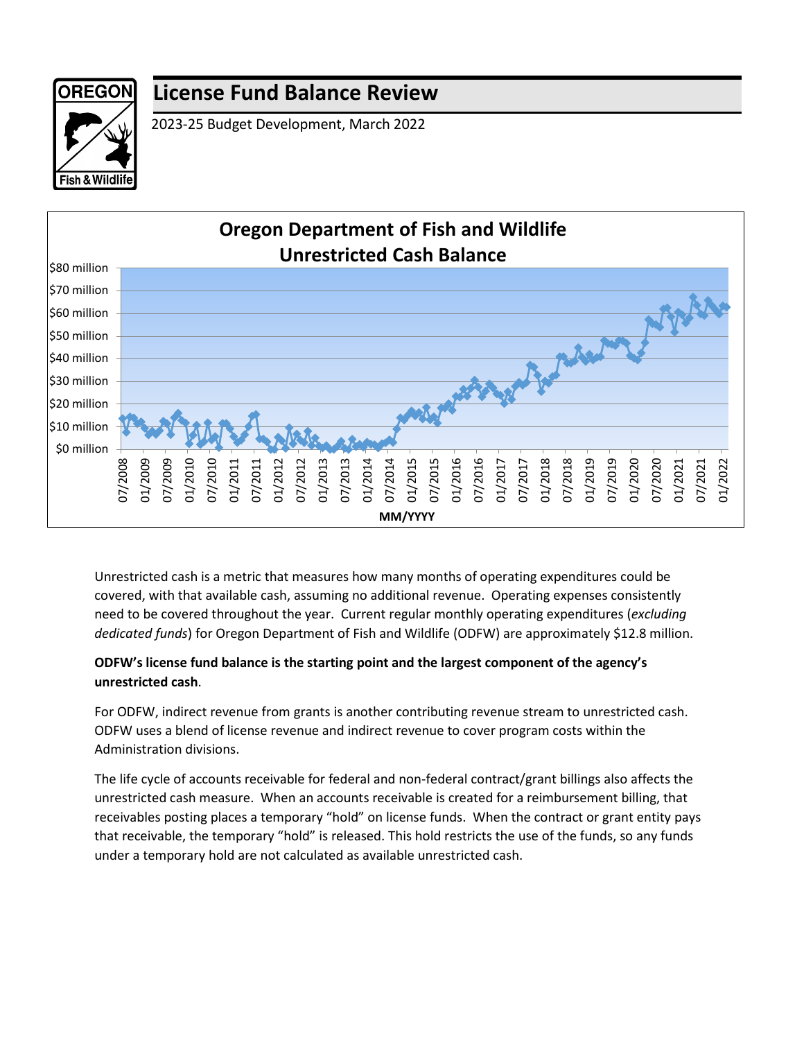

## **License Fund Balance Review**

2023-25 Budget Development, March 2022



Unrestricted cash is a metric that measures how many months of operating expenditures could be covered, with that available cash, assuming no additional revenue. Operating expenses consistently need to be covered throughout the year. Current regular monthly operating expenditures (*excluding dedicated funds*) for Oregon Department of Fish and Wildlife (ODFW) are approximately \$12.8 million.

## **ODFW's license fund balance is the starting point and the largest component of the agency's unrestricted cash**.

For ODFW, indirect revenue from grants is another contributing revenue stream to unrestricted cash. ODFW uses a blend of license revenue and indirect revenue to cover program costs within the Administration divisions.

The life cycle of accounts receivable for federal and non-federal contract/grant billings also affects the unrestricted cash measure. When an accounts receivable is created for a reimbursement billing, that receivables posting places a temporary "hold" on license funds. When the contract or grant entity pays that receivable, the temporary "hold" is released. This hold restricts the use of the funds, so any funds under a temporary hold are not calculated as available unrestricted cash.